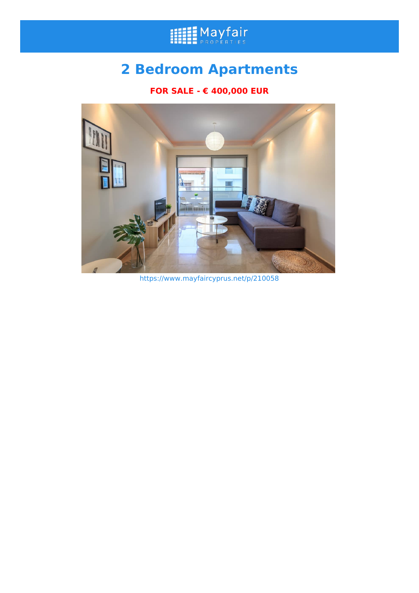

## **2 Bedroom Apartments**

## **FOR SALE - € 400,000 EUR**



https://www.mayfaircyprus.net/p/210058